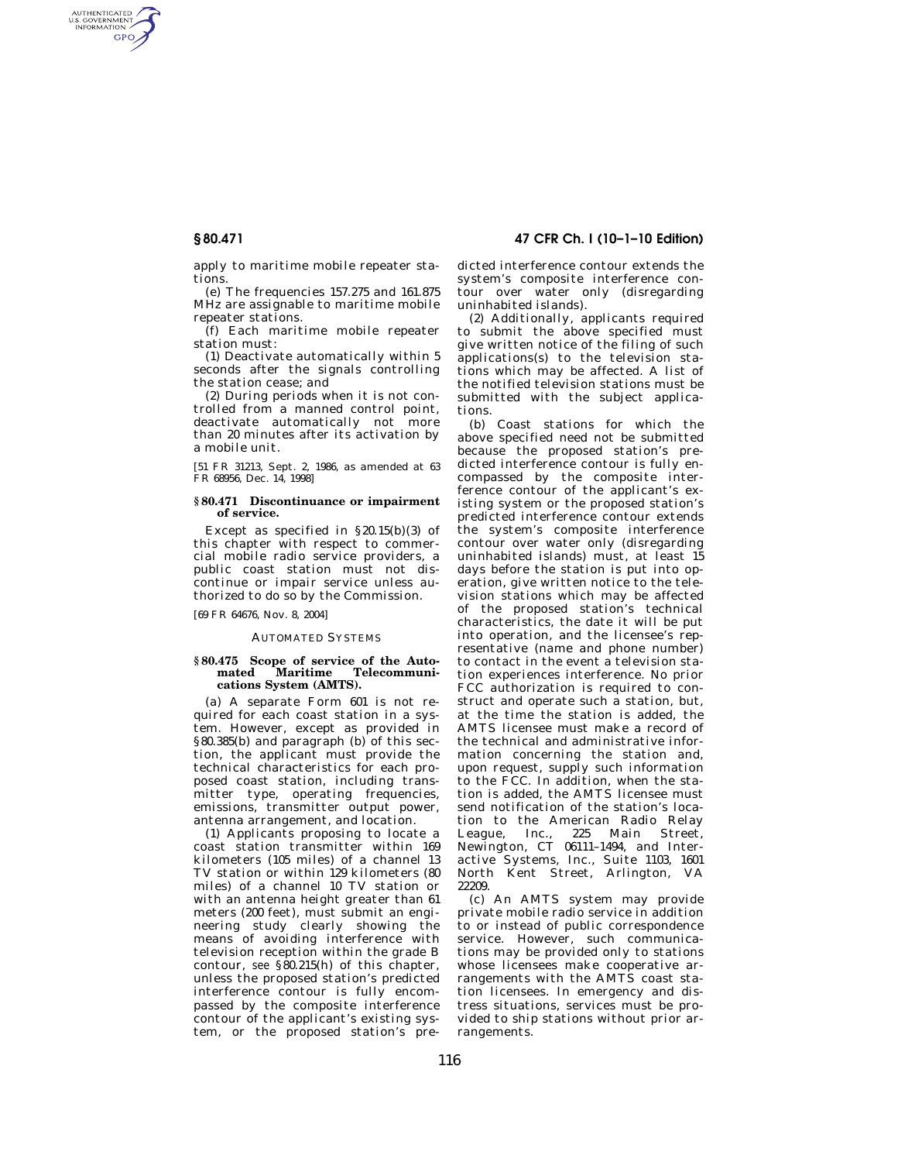AUTHENTICATED<br>U.S. GOVERNMENT<br>INFORMATION **GPO** 

**§ 80.471 47 CFR Ch. I (10–1–10 Edition)** 

apply to maritime mobile repeater stations.

(e) The frequencies 157.275 and 161.875 MHz are assignable to maritime mobile repeater stations.

(f) Each maritime mobile repeater station must:

(1) Deactivate automatically within 5 seconds after the signals controlling the station cease; and

(2) During periods when it is not controlled from a manned control point, deactivate automatically not more than 20 minutes after its activation by a mobile unit.

[51 FR 31213, Sept. 2, 1986, as amended at 63 FR 68956, Dec. 14, 1998]

#### **§ 80.471 Discontinuance or impairment of service.**

Except as specified in §20.15(b)(3) of this chapter with respect to commercial mobile radio service providers, a public coast station must not discontinue or impair service unless authorized to do so by the Commission.

[69 FR 64676, Nov. 8, 2004]

### AUTOMATED SYSTEMS

#### **§ 80.475 Scope of service of the Automated Maritime Telecommunications System (AMTS).**

(a) A separate Form 601 is not required for each coast station in a system. However, except as provided in §80.385(b) and paragraph (b) of this section, the applicant must provide the technical characteristics for each proposed coast station, including transmitter type, operating frequencies, emissions, transmitter output power, antenna arrangement, and location.

(1) Applicants proposing to locate a coast station transmitter within 169 kilometers (105 miles) of a channel 13 TV station or within 129 kilometers (80 miles) of a channel 10 TV station or with an antenna height greater than 61 meters (200 feet), must submit an engineering study clearly showing the means of avoiding interference with television reception within the grade B contour, *see* §80.215(h) of this chapter, unless the proposed station's predicted interference contour is fully encompassed by the composite interference contour of the applicant's existing system, or the proposed station's predicted interference contour extends the system's composite interference contour over water only (disregarding uninhabited islands).

(2) Additionally, applicants required to submit the above specified must give written notice of the filing of such applications(s) to the television stations which may be affected. A list of the notified television stations must be submitted with the subject applications.

(b) Coast stations for which the above specified need not be submitted because the proposed station's predicted interference contour is fully encompassed by the composite interference contour of the applicant's existing system or the proposed station's predicted interference contour extends the system's composite interference contour over water only (disregarding uninhabited islands) must, at least 15 days before the station is put into operation, give written notice to the television stations which may be affected of the proposed station's technical characteristics, the date it will be put into operation, and the licensee's representative (name and phone number) to contact in the event a television station experiences interference. No prior FCC authorization is required to construct and operate such a station, but, at the time the station is added, the AMTS licensee must make a record of the technical and administrative information concerning the station and, upon request, supply such information to the FCC. In addition, when the station is added, the AMTS licensee must send notification of the station's location to the American Radio Relay League, Inc., 225 Main Street, Newington, CT 06111–1494, and Interactive Systems, Inc., Suite 1103, 1601 North Kent Street, Arlington, VA 22209.

(c) An AMTS system may provide private mobile radio service in addition to or instead of public correspondence service. However, such communications may be provided only to stations whose licensees make cooperative arrangements with the AMTS coast station licensees. In emergency and distress situations, services must be provided to ship stations without prior arrangements.